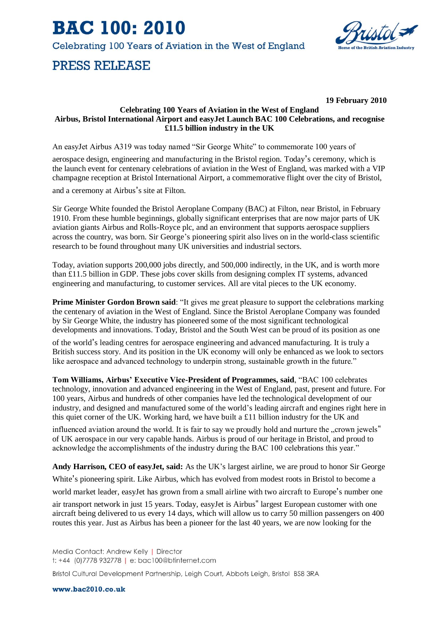**BAC 100: 2010** 

Celebrating 100 Years of Aviation in the West of England

# **PRESS RELEASE**



**19 February 2010**

## **Celebrating 100 Years of Aviation in the West of England Airbus, Bristol International Airport and easyJet Launch BAC 100 Celebrations, and recognise £11.5 billion industry in the UK**

An easyJet Airbus A319 was today named "Sir George White" to commemorate 100 years of

aerospace design, engineering and manufacturing in the Bristol region. Today's ceremony, which is the launch event for centenary celebrations of aviation in the West of England, was marked with a VIP champagne reception at Bristol International Airport, a commemorative flight over the city of Bristol,

and a ceremony at Airbus's site at Filton.

Sir George White founded the Bristol Aeroplane Company (BAC) at Filton, near Bristol, in February 1910. From these humble beginnings, globally significant enterprises that are now major parts of UK aviation giants Airbus and Rolls-Royce plc, and an environment that supports aerospace suppliers across the country, was born. Sir George's pioneering spirit also lives on in the world-class scientific research to be found throughout many UK universities and industrial sectors.

Today, aviation supports 200,000 jobs directly, and 500,000 indirectly, in the UK, and is worth more than £11.5 billion in GDP. These jobs cover skills from designing complex IT systems, advanced engineering and manufacturing, to customer services. All are vital pieces to the UK economy.

**Prime Minister Gordon Brown said:** "It gives me great pleasure to support the celebrations marking the centenary of aviation in the West of England. Since the Bristol Aeroplane Company was founded by Sir George White, the industry has pioneered some of the most significant technological developments and innovations. Today, Bristol and the South West can be proud of its position as one

of the world's leading centres for aerospace engineering and advanced manufacturing. It is truly a British success story. And its position in the UK economy will only be enhanced as we look to sectors like aerospace and advanced technology to underpin strong, sustainable growth in the future."

**Tom Williams, Airbus' Executive Vice-President of Programmes, said**, "BAC 100 celebrates technology, innovation and advanced engineering in the West of England, past, present and future. For 100 years, Airbus and hundreds of other companies have led the technological development of our industry, and designed and manufactured some of the world's leading aircraft and engines right here in this quiet corner of the UK. Working hard, we have built a £11 billion industry for the UK and

influenced aviation around the world. It is fair to say we proudly hold and nurture the "crown jewels" of UK aerospace in our very capable hands. Airbus is proud of our heritage in Bristol, and proud to acknowledge the accomplishments of the industry during the BAC 100 celebrations this year."

**Andy Harrison, CEO of easyJet, said:** As the UK's largest airline, we are proud to honor Sir George

White's pioneering spirit. Like Airbus, which has evolved from modest roots in Bristol to become a

world market leader, easyJet has grown from a small airline with two aircraft to Europe's number one

air transport network in just 15 years. Today, easyJet is Airbus" largest European customer with one aircraft being delivered to us every 14 days, which will allow us to carry 50 million passengers on 400 routes this year. Just as Airbus has been a pioneer for the last 40 years, we are now looking for the

Media Contact: Andrew Kelly | Director t: +44 (0)7778 932778 | e: bac100@btinternet.com

Bristol Cultural Development Partnership, Leigh Court, Abbots Leigh, Bristol BS8 3RA

www.bac2010.co.uk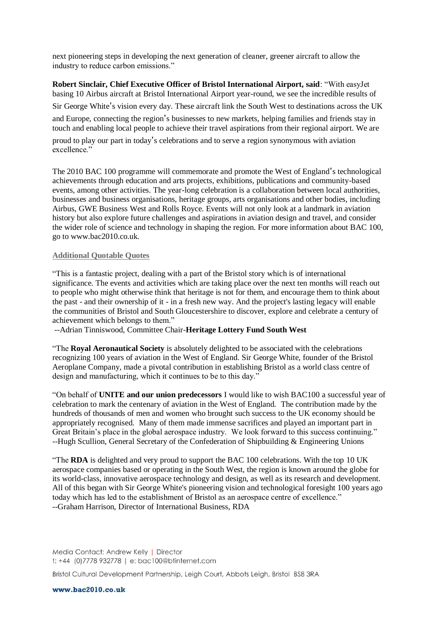next pioneering steps in developing the next generation of cleaner, greener aircraft to allow the industry to reduce carbon emissions."

**Robert Sinclair, Chief Executive Officer of Bristol International Airport, said**: "With easyJet basing 10 Airbus aircraft at Bristol International Airport year-round, we see the incredible results of Sir George White's vision every day. These aircraft link the South West to destinations across the UK and Europe, connecting the region's businesses to new markets, helping families and friends stay in touch and enabling local people to achieve their travel aspirations from their regional airport. We are proud to play our part in today's celebrations and to serve a region synonymous with aviation excellence."

The 2010 BAC 100 programme will commemorate and promote the West of England's technological achievements through education and arts projects, exhibitions, publications and community-based events, among other activities. The year-long celebration is a collaboration between local authorities, businesses and business organisations, heritage groups, arts organisations and other bodies, including Airbus, GWE Business West and Rolls Royce. Events will not only look at a landmark in aviation history but also explore future challenges and aspirations in aviation design and travel, and consider the wider role of science and technology in shaping the region. For more information about BAC 100, go to www.bac2010.co.uk.

### **Additional Quotable Quotes**

"This is a fantastic project, dealing with a part of the Bristol story which is of international significance. The events and activities which are taking place over the next ten months will reach out to people who might otherwise think that heritage is not for them, and encourage them to think about the past - and their ownership of it - in a fresh new way. And the project's lasting legacy will enable the communities of Bristol and South Gloucestershire to discover, explore and celebrate a century of achievement which belongs to them."

--Adrian Tinniswood, Committee Chair-**Heritage Lottery Fund South West**

"The **Royal Aeronautical Society** is absolutely delighted to be associated with the celebrations recognizing 100 years of aviation in the West of England. Sir George White, founder of the Bristol Aeroplane Company, made a pivotal contribution in establishing Bristol as a world class centre of design and manufacturing, which it continues to be to this day."

"On behalf of **UNITE and our union predecessors** I would like to wish BAC100 a successful year of celebration to mark the centenary of aviation in the West of England. The contribution made by the hundreds of thousands of men and women who brought such success to the UK economy should be appropriately recognised. Many of them made immense sacrifices and played an important part in Great Britain's place in the global aerospace industry. We look forward to this success continuing." --Hugh Scullion, General Secretary of the Confederation of Shipbuilding & Engineering Unions

"The **RDA** is delighted and very proud to support the BAC 100 celebrations. With the top 10 UK aerospace companies based or operating in the South West, the region is known around the globe for its world-class, innovative aerospace technology and design, as well as its research and development. All of this began with Sir George White's pioneering vision and technological foresight 100 years ago today which has led to the establishment of Bristol as an aerospace centre of excellence." --Graham Harrison, Director of International Business, RDA

Media Contact: Andrew Kelly | Director t: +44 (0)7778 932778 | e: bac100@btinternet.com

Bristol Cultural Development Partnership, Leigh Court, Abbots Leigh, Bristol BS8 3RA

www.bac2010.co.uk